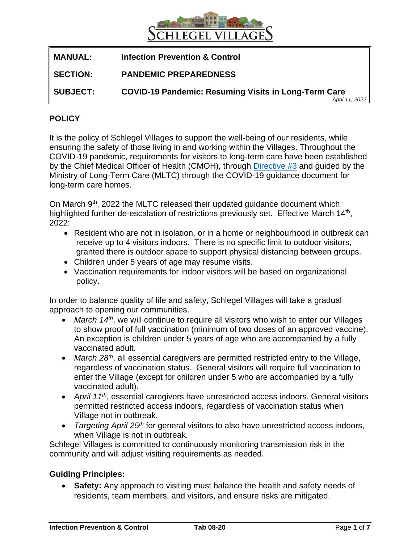

| <b>MANUAL:</b>  | <b>Infection Prevention &amp; Control</b>                                     |
|-----------------|-------------------------------------------------------------------------------|
| 'SECTION:       | <b>PANDEMIC PREPAREDNESS</b>                                                  |
| <b>SUBJECT:</b> | <b>COVID-19 Pandemic: Resuming Visits in Long-Term Care</b><br>April 11, 2022 |

## **POLICY**

It is the policy of Schlegel Villages to support the well-being of our residents, while ensuring the safety of those living in and working within the Villages. Throughout the COVID-19 pandemic, requirements for visitors to long-term care have been established by the Chief Medical Officer of Health (CMOH), through [Directive #3](https://www.health.gov.on.ca/en/pro/programs/publichealth/coronavirus/docs/directives/LTCH_HPPA.pdf) and guided by the Ministry of Long-Term Care (MLTC) through the COVID-19 guidance document for long-term care homes.

On March 9<sup>th</sup>, 2022 the MLTC released their updated guidance document which highlighted further de-escalation of restrictions previously set. Effective March 14<sup>th</sup>, 2022:

- Resident who are not in isolation, or in a home or neighbourhood in outbreak can receive up to 4 visitors indoors. There is no specific limit to outdoor visitors, granted there is outdoor space to support physical distancing between groups.
- Children under 5 years of age may resume visits.
- Vaccination requirements for indoor visitors will be based on organizational policy.

In order to balance quality of life and safety, Schlegel Villages will take a gradual approach to opening our communities.

- *March 14th*, we will continue to require all visitors who wish to enter our Villages to show proof of full vaccination (minimum of two doses of an approved vaccine). An exception is children under 5 years of age who are accompanied by a fully vaccinated adult.
- March 28<sup>th</sup>, all essential caregivers are permitted restricted entry to the Village, regardless of vaccination status. General visitors will require full vaccination to enter the Village (except for children under 5 who are accompanied by a fully vaccinated adult).
- *April 11th* , essential caregivers have unrestricted access indoors. General visitors permitted restricted access indoors, regardless of vaccination status when Village not in outbreak.
- *Targeting April 25th* for general visitors to also have unrestricted access indoors, when Village is not in outbreak.

Schlegel Villages is committed to continuously monitoring transmission risk in the community and will adjust visiting requirements as needed.

### **Guiding Principles:**

• **Safety:** Any approach to visiting must balance the health and safety needs of residents, team members, and visitors, and ensure risks are mitigated.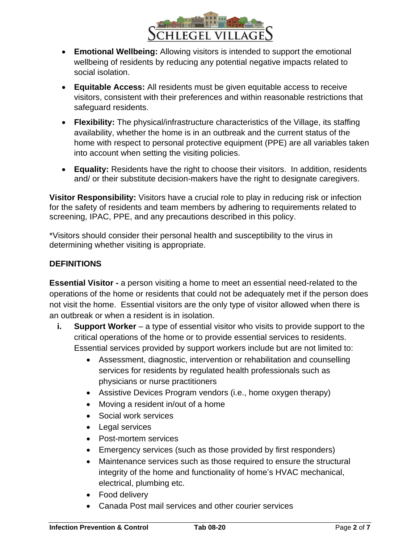

- **Emotional Wellbeing:** Allowing visitors is intended to support the emotional wellbeing of residents by reducing any potential negative impacts related to social isolation.
- **Equitable Access:** All residents must be given equitable access to receive visitors, consistent with their preferences and within reasonable restrictions that safeguard residents.
- **Flexibility:** The physical/infrastructure characteristics of the Village, its staffing availability, whether the home is in an outbreak and the current status of the home with respect to personal protective equipment (PPE) are all variables taken into account when setting the visiting policies.
- **Equality:** Residents have the right to choose their visitors. In addition, residents and/ or their substitute decision-makers have the right to designate caregivers.

**Visitor Responsibility:** Visitors have a crucial role to play in reducing risk or infection for the safety of residents and team members by adhering to requirements related to screening, IPAC, PPE, and any precautions described in this policy.

\*Visitors should consider their personal health and susceptibility to the virus in determining whether visiting is appropriate.

# **DEFINITIONS**

**Essential Visitor -** a person visiting a home to meet an essential need-related to the operations of the home or residents that could not be adequately met if the person does not visit the home. Essential visitors are the only type of visitor allowed when there is an outbreak or when a resident is in isolation.

- **i. Support Worker** a type of essential visitor who visits to provide support to the critical operations of the home or to provide essential services to residents. Essential services provided by support workers include but are not limited to:
	- Assessment, diagnostic, intervention or rehabilitation and counselling services for residents by regulated health professionals such as physicians or nurse practitioners
	- Assistive Devices Program vendors (i.e., home oxygen therapy)
	- Moving a resident in/out of a home
	- Social work services
	- Legal services
	- Post-mortem services
	- Emergency services (such as those provided by first responders)
	- Maintenance services such as those required to ensure the structural integrity of the home and functionality of home's HVAC mechanical, electrical, plumbing etc.
	- Food delivery
	- Canada Post mail services and other courier services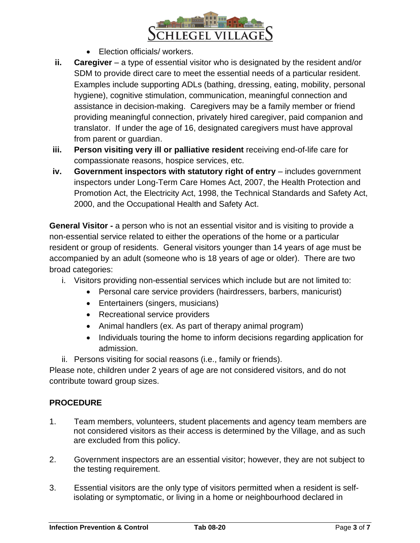

- Election officials/ workers.
- **ii. Caregiver** a type of essential visitor who is designated by the resident and/or SDM to provide direct care to meet the essential needs of a particular resident. Examples include supporting ADLs (bathing, dressing, eating, mobility, personal hygiene), cognitive stimulation, communication, meaningful connection and assistance in decision-making. Caregivers may be a family member or friend providing meaningful connection, privately hired caregiver, paid companion and translator. If under the age of 16, designated caregivers must have approval from parent or guardian.
- **iii. Person visiting very ill or palliative resident** receiving end-of-life care for compassionate reasons, hospice services, etc.
- **iv.** Government inspectors with statutory right of entry includes government inspectors under Long-Term Care Homes Act, 2007, the Health Protection and Promotion Act, the Electricity Act, 1998, the Technical Standards and Safety Act, 2000, and the Occupational Health and Safety Act.

**General Visitor -** a person who is not an essential visitor and is visiting to provide a non-essential service related to either the operations of the home or a particular resident or group of residents. General visitors younger than 14 years of age must be accompanied by an adult (someone who is 18 years of age or older). There are two broad categories:

- i. Visitors providing non-essential services which include but are not limited to:
	- Personal care service providers (hairdressers, barbers, manicurist)
		- Entertainers (singers, musicians)
		- Recreational service providers
		- Animal handlers (ex. As part of therapy animal program)
	- Individuals touring the home to inform decisions regarding application for admission.
- ii. Persons visiting for social reasons (i.e., family or friends).

Please note, children under 2 years of age are not considered visitors, and do not contribute toward group sizes.

# **PROCEDURE**

- 1. Team members, volunteers, student placements and agency team members are not considered visitors as their access is determined by the Village, and as such are excluded from this policy.
- 2. Government inspectors are an essential visitor; however, they are not subject to the testing requirement.
- 3. Essential visitors are the only type of visitors permitted when a resident is selfisolating or symptomatic, or living in a home or neighbourhood declared in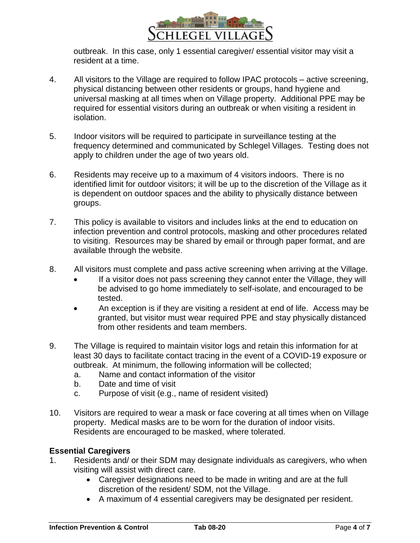

outbreak. In this case, only 1 essential caregiver/ essential visitor may visit a resident at a time.

- 4. All visitors to the Village are required to follow IPAC protocols active screening, physical distancing between other residents or groups, hand hygiene and universal masking at all times when on Village property. Additional PPE may be required for essential visitors during an outbreak or when visiting a resident in isolation.
- 5. Indoor visitors will be required to participate in surveillance testing at the frequency determined and communicated by Schlegel Villages. Testing does not apply to children under the age of two years old.
- 6. Residents may receive up to a maximum of 4 visitors indoors. There is no identified limit for outdoor visitors; it will be up to the discretion of the Village as it is dependent on outdoor spaces and the ability to physically distance between groups.
- 7. This policy is available to visitors and includes links at the end to education on infection prevention and control protocols, masking and other procedures related to visiting. Resources may be shared by email or through paper format, and are available through the website.
- 8. All visitors must complete and pass active screening when arriving at the Village.
	- If a visitor does not pass screening they cannot enter the Village, they will be advised to go home immediately to self-isolate, and encouraged to be tested.
	- An exception is if they are visiting a resident at end of life. Access may be granted, but visitor must wear required PPE and stay physically distanced from other residents and team members.
- 9. The Village is required to maintain visitor logs and retain this information for at least 30 days to facilitate contact tracing in the event of a COVID-19 exposure or outbreak. At minimum, the following information will be collected;
	- a. Name and contact information of the visitor
	- b. Date and time of visit
	- c. Purpose of visit (e.g., name of resident visited)
- 10. Visitors are required to wear a mask or face covering at all times when on Village property. Medical masks are to be worn for the duration of indoor visits. Residents are encouraged to be masked, where tolerated.

### **Essential Caregivers**

- 1. Residents and/ or their SDM may designate individuals as caregivers, who when visiting will assist with direct care.
	- Caregiver designations need to be made in writing and are at the full discretion of the resident/ SDM, not the Village.
	- A maximum of 4 essential caregivers may be designated per resident.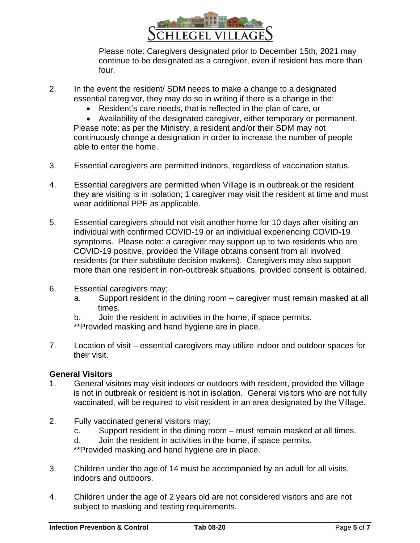

Please note: Caregivers designated prior to December 15th, 2021 may continue to be designated as a caregiver, even if resident has more than four.

- 2. In the event the resident/ SDM needs to make a change to a designated essential caregiver, they may do so in writing if there is a change in the:
	- Resident's care needs, that is reflected in the plan of care, or

• Availability of the designated caregiver, either temporary or permanent. Please note: as per the Ministry, a resident and/or their SDM may not continuously change a designation in order to increase the number of people able to enter the home.

- 3. Essential caregivers are permitted indoors, regardless of vaccination status.
- 4. Essential caregivers are permitted when Village is in outbreak or the resident they are visiting is in isolation; 1 caregiver may visit the resident at time and must wear additional PPE as applicable.
- 5. Essential caregivers should not visit another home for 10 days after visiting an individual with confirmed COVID-19 or an individual experiencing COVID-19 symptoms. Please note: a caregiver may support up to two residents who are COVID-19 positive, provided the Village obtains consent from all involved residents (or their substitute decision makers). Caregivers may also support more than one resident in non-outbreak situations, provided consent is obtained.
- 6. Essential caregivers may;
	- a. Support resident in the dining room caregiver must remain masked at all times.
	- b. Join the resident in activities in the home, if space permits.

\*\*Provided masking and hand hygiene are in place.

7. Location of visit – essential caregivers may utilize indoor and outdoor spaces for their visit.

### **General Visitors**

- 1. General visitors may visit indoors or outdoors with resident, provided the Village is not in outbreak or resident is not in isolation. General visitors who are not fully vaccinated, will be required to visit resident in an area designated by the Village.
- 2. Fully vaccinated general visitors may;
	- c. Support resident in the dining room must remain masked at all times.
	- d. Join the resident in activities in the home, if space permits.

\*\*Provided masking and hand hygiene are in place.

- 3. Children under the age of 14 must be accompanied by an adult for all visits, indoors and outdoors.
- 4. Children under the age of 2 years old are not considered visitors and are not subject to masking and testing requirements.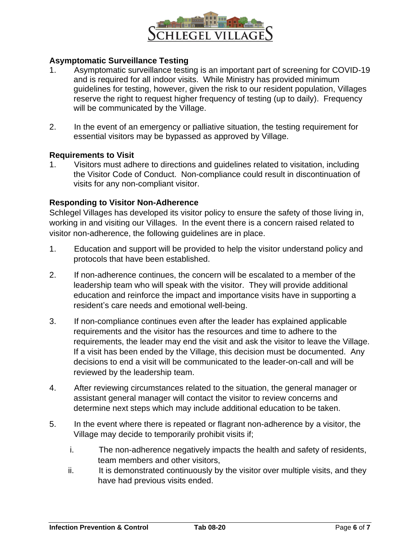

### **Asymptomatic Surveillance Testing**

- 1. Asymptomatic surveillance testing is an important part of screening for COVID-19 and is required for all indoor visits. While Ministry has provided minimum guidelines for testing, however, given the risk to our resident population, Villages reserve the right to request higher frequency of testing (up to daily). Frequency will be communicated by the Village.
- 2. In the event of an emergency or palliative situation, the testing requirement for essential visitors may be bypassed as approved by Village.

#### **Requirements to Visit**

1. Visitors must adhere to directions and guidelines related to visitation, including the Visitor Code of Conduct. Non-compliance could result in discontinuation of visits for any non-compliant visitor.

#### **Responding to Visitor Non-Adherence**

Schlegel Villages has developed its visitor policy to ensure the safety of those living in, working in and visiting our Villages. In the event there is a concern raised related to visitor non-adherence, the following guidelines are in place.

- 1. Education and support will be provided to help the visitor understand policy and protocols that have been established.
- 2. If non-adherence continues, the concern will be escalated to a member of the leadership team who will speak with the visitor. They will provide additional education and reinforce the impact and importance visits have in supporting a resident's care needs and emotional well-being.
- 3. If non-compliance continues even after the leader has explained applicable requirements and the visitor has the resources and time to adhere to the requirements, the leader may end the visit and ask the visitor to leave the Village. If a visit has been ended by the Village, this decision must be documented. Any decisions to end a visit will be communicated to the leader-on-call and will be reviewed by the leadership team.
- 4. After reviewing circumstances related to the situation, the general manager or assistant general manager will contact the visitor to review concerns and determine next steps which may include additional education to be taken.
- 5. In the event where there is repeated or flagrant non-adherence by a visitor, the Village may decide to temporarily prohibit visits if;
	- i. The non-adherence negatively impacts the health and safety of residents, team members and other visitors,
	- ii. It is demonstrated continuously by the visitor over multiple visits, and they have had previous visits ended.